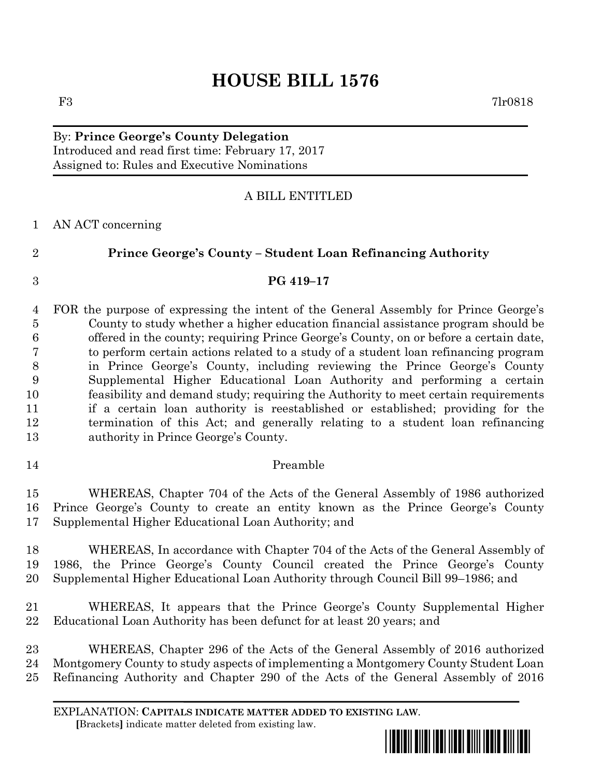## **HOUSE BILL 1576**

#### By: **Prince George's County Delegation** Introduced and read first time: February 17, 2017 Assigned to: Rules and Executive Nominations

### A BILL ENTITLED

#### AN ACT concerning

**Prince George's County – Student Loan Refinancing Authority**

# **PG 419–17**

 FOR the purpose of expressing the intent of the General Assembly for Prince George's County to study whether a higher education financial assistance program should be offered in the county; requiring Prince George's County, on or before a certain date, to perform certain actions related to a study of a student loan refinancing program in Prince George's County, including reviewing the Prince George's County Supplemental Higher Educational Loan Authority and performing a certain feasibility and demand study; requiring the Authority to meet certain requirements if a certain loan authority is reestablished or established; providing for the termination of this Act; and generally relating to a student loan refinancing authority in Prince George's County.

Preamble

 WHEREAS, Chapter 704 of the Acts of the General Assembly of 1986 authorized Prince George's County to create an entity known as the Prince George's County Supplemental Higher Educational Loan Authority; and

 WHEREAS, In accordance with Chapter 704 of the Acts of the General Assembly of 1986, the Prince George's County Council created the Prince George's County Supplemental Higher Educational Loan Authority through Council Bill 99–1986; and

 WHEREAS, It appears that the Prince George's County Supplemental Higher Educational Loan Authority has been defunct for at least 20 years; and

 WHEREAS, Chapter 296 of the Acts of the General Assembly of 2016 authorized Montgomery County to study aspects of implementing a Montgomery County Student Loan Refinancing Authority and Chapter 290 of the Acts of the General Assembly of 2016

EXPLANATION: **CAPITALS INDICATE MATTER ADDED TO EXISTING LAW**.  **[**Brackets**]** indicate matter deleted from existing law.

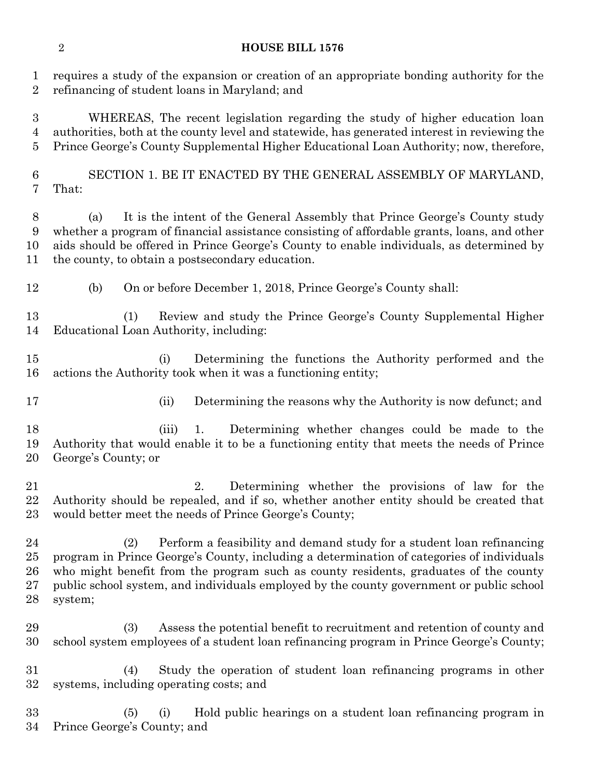#### **HOUSE BILL 1576**

 requires a study of the expansion or creation of an appropriate bonding authority for the refinancing of student loans in Maryland; and

 WHEREAS, The recent legislation regarding the study of higher education loan authorities, both at the county level and statewide, has generated interest in reviewing the Prince George's County Supplemental Higher Educational Loan Authority; now, therefore,

 SECTION 1. BE IT ENACTED BY THE GENERAL ASSEMBLY OF MARYLAND, That:

 (a) It is the intent of the General Assembly that Prince George's County study whether a program of financial assistance consisting of affordable grants, loans, and other aids should be offered in Prince George's County to enable individuals, as determined by the county, to obtain a postsecondary education.

(b) On or before December 1, 2018, Prince George's County shall:

 (1) Review and study the Prince George's County Supplemental Higher Educational Loan Authority, including:

 (i) Determining the functions the Authority performed and the actions the Authority took when it was a functioning entity;

(ii) Determining the reasons why the Authority is now defunct; and

 (iii) 1. Determining whether changes could be made to the Authority that would enable it to be a functioning entity that meets the needs of Prince George's County; or

 2. Determining whether the provisions of law for the Authority should be repealed, and if so, whether another entity should be created that would better meet the needs of Prince George's County;

 (2) Perform a feasibility and demand study for a student loan refinancing program in Prince George's County, including a determination of categories of individuals who might benefit from the program such as county residents, graduates of the county public school system, and individuals employed by the county government or public school system;

 (3) Assess the potential benefit to recruitment and retention of county and school system employees of a student loan refinancing program in Prince George's County;

 (4) Study the operation of student loan refinancing programs in other systems, including operating costs; and

 (5) (i) Hold public hearings on a student loan refinancing program in Prince George's County; and